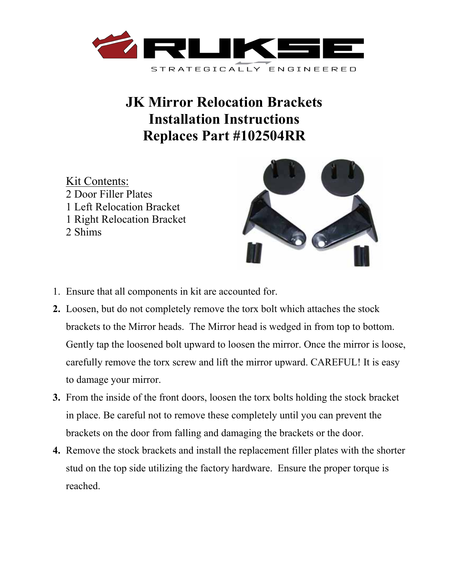

## **JK Mirror Relocation Brackets Installation Instructions Replaces Part #102504RR**

Kit Contents: 2 Door Filler Plates 1 Left Relocation Bracket 1 Right Relocation Bracket 2 Shims



- 1. Ensure that all components in kit are accounted for.
- **2.** Loosen, but do not completely remove the torx bolt which attaches the stock brackets to the Mirror heads. The Mirror head is wedged in from top to bottom. Gently tap the loosened bolt upward to loosen the mirror. Once the mirror is loose, carefully remove the torx screw and lift the mirror upward. CAREFUL! It is easy to damage your mirror.
- **3.** From the inside of the front doors, loosen the torx bolts holding the stock bracket in place. Be careful not to remove these completely until you can prevent the brackets on the door from falling and damaging the brackets or the door.
- **4.** Remove the stock brackets and install the replacement filler plates with the shorter stud on the top side utilizing the factory hardware. Ensure the proper torque is reached.